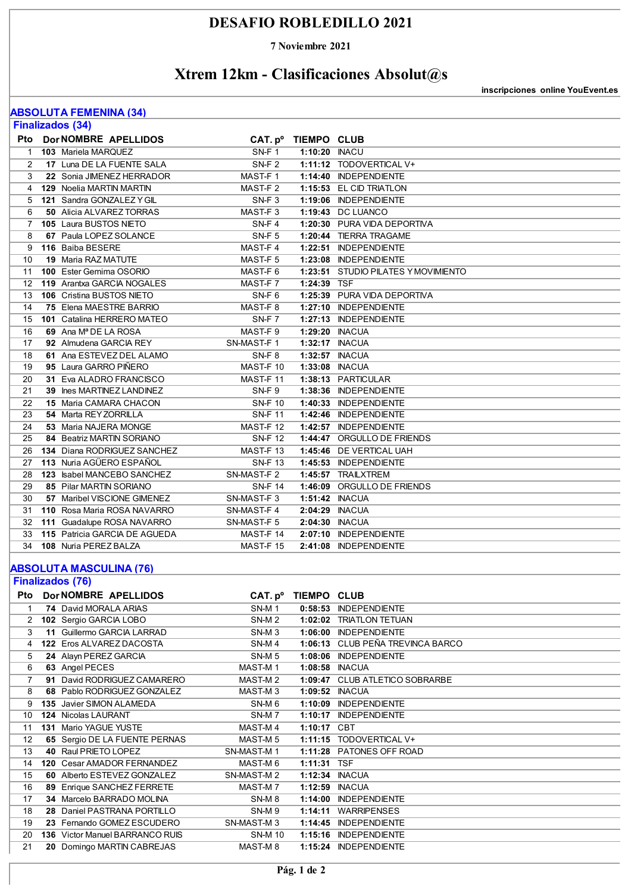### **DESAFIO ROBLEDILLO 2021**

**7 Noviembre 2021**

## **Xtrem 12km - Clasificaciones Absolut@s**

**inscripciones online YouEvent.es**

#### **ABSOLUTA FEMENINA (34)**

| <b>Finalizados (34)</b> |  |                                  |                     |                    |                                     |  |  |
|-------------------------|--|----------------------------------|---------------------|--------------------|-------------------------------------|--|--|
| Pto                     |  | <b>Dor NOMBRE APELLIDOS</b>      | CAT. p <sup>o</sup> | <b>TIEMPO CLUB</b> |                                     |  |  |
| 1                       |  | 103 Mariela MARQUEZ              | SN-F1               | 1:10:20 INACU      |                                     |  |  |
| 2                       |  | 17 Luna DE LA FUENTE SALA        | $SN-F2$             |                    | 1:11:12 TODOVERTICAL V+             |  |  |
| 3                       |  | 22 Sonia JIMENEZ HERRADOR        | MAST-F1             |                    | 1:14:40 INDEPENDIENTE               |  |  |
| 4                       |  | <b>129</b> Noelia MARTIN MARTIN  | MAST-F2             |                    | 1:15:53 EL CID TRIATLON             |  |  |
| 5                       |  | 121 Sandra GONZALEZ Y GIL        | SN-F <sub>3</sub>   |                    | 1:19:06 INDEPENDIENTE               |  |  |
| 6                       |  | <b>50 Alicia ALVAREZ TORRAS</b>  | MAST-F <sub>3</sub> |                    | 1:19:43 DC LUANCO                   |  |  |
| 7                       |  | 105 Laura BUSTOS NIETO           | $SN-F 4$            |                    | 1:20:30 PURA VIDA DEPORTIVA         |  |  |
| 8                       |  | 67 Paula LOPEZ SOLANCE           | SN-F <sub>5</sub>   |                    | 1:20:44 TIERRA TRAGAME              |  |  |
| 9                       |  | 116 Baiba BESERE                 | MAST-F4             |                    | 1:22:51 INDEPENDIENTE               |  |  |
| 10                      |  | <b>19 Maria RAZ MATUTE</b>       | MAST-F <sub>5</sub> |                    | 1:23:08 INDEPENDIENTE               |  |  |
| 11                      |  | 100 Ester Gemima OSORIO          | MAST-F6             |                    | 1:23:51 STUDIO PILATES Y MOVIMIENTO |  |  |
| 12                      |  | 119 Arantxa GARCIA NOGALES       | MAST-F7             | 1:24:39 TSF        |                                     |  |  |
| 13                      |  | 106 Cristina BUSTOS NIETO        | $SN-F6$             |                    | 1:25:39 PURA VIDA DEPORTIVA         |  |  |
| 14                      |  | 75 Elena MAESTRE BARRIO          | MAST-F8             |                    | 1:27:10 INDEPENDIENTE               |  |  |
| 15                      |  | 101 Catalina HERRERO MATEO       | SN-F7               |                    | 1:27:13 INDEPENDIENTE               |  |  |
| 16                      |  | 69 Ana M <sup>ª</sup> DE LA ROSA | MAST-F9             |                    | 1:29:20 INACUA                      |  |  |
| 17                      |  | 92 Almudena GARCIA REY           | SN-MAST-F1          |                    | 1:32:17 INACUA                      |  |  |
| 18                      |  | 61 Ana ESTEVEZ DEL ALAMO         | SN-F <sub>8</sub>   |                    | 1:32:57 INACUA                      |  |  |
| 19                      |  | 95 Laura GARRO PIÑERO            | MAST-F 10           |                    | 1:33:08 INACUA                      |  |  |
| 20                      |  | 31 Eva ALADRO FRANCISCO          | MAST-F 11           |                    | 1:38:13 PARTICULAR                  |  |  |
| 21                      |  | 39 Ines MARTINEZ LANDINEZ        | SN-F9               |                    | 1:38:36 INDEPENDIENTE               |  |  |
| 22                      |  | <b>15 Maria CAMARA CHACON</b>    | <b>SN-F 10</b>      |                    | 1:40:33 INDEPENDIENTE               |  |  |
| 23                      |  | 54 Marta REY ZORRILLA            | <b>SN-F11</b>       |                    | 1:42:46 INDEPENDIENTE               |  |  |
| 24                      |  | 53 Maria NAJERA MONGE            | MAST-F12            |                    | 1:42:57 INDEPENDIENTE               |  |  |
| 25                      |  | <b>84 Beatriz MARTIN SORIANO</b> | <b>SN-F 12</b>      |                    | 1:44:47 ORGULLO DE FRIENDS          |  |  |
| 26                      |  | 134 Diana RODRIGUEZ SANCHEZ      | MAST-F13            |                    | 1:45:46 DE VERTICAL UAH             |  |  |
| 27                      |  | 113 Nuria AGÜERO ESPAÑOL         | <b>SN-F 13</b>      |                    | 1:45:53 INDEPENDIENTE               |  |  |
| 28                      |  | 123 Isabel MANCEBO SANCHEZ       | SN-MAST-F2          |                    | 1:45:57 TRAILXTREM                  |  |  |
| 29                      |  | 85 Pilar MARTIN SORIANO          | <b>SN-F 14</b>      |                    | 1:46:09 ORGULLO DE FRIENDS          |  |  |
| 30                      |  | 57 Maribel VISCIONE GIMENEZ      | SN-MAST-F3          |                    | 1:51:42 INACUA                      |  |  |
| 31                      |  | 110 Rosa Maria ROSA NAVARRO      | SN-MAST-F 4         |                    | 2:04:29 INACUA                      |  |  |
| 32                      |  | 111 Guadalupe ROSA NAVARRO       | SN-MAST-F 5         |                    | 2:04:30 INACUA                      |  |  |
| 33                      |  | 115 Patricia GARCIA DE AGUEDA    | MAST-F 14           |                    | 2:07:10 INDEPENDIENTE               |  |  |
| 34                      |  | 108 Nuria PEREZ BALZA            | MAST-F 15           |                    | 2:41:08 INDEPENDIENTE               |  |  |
|                         |  |                                  |                     |                    |                                     |  |  |

#### **ABSOLUTA MASCULINA (76)**

**Finalizados (76)**

| Pto               |    | Dor NOMBRE APELLIDOS                   | CAT. p <sup>o</sup> | <b>TIEMPO CLUB</b> |                                  |
|-------------------|----|----------------------------------------|---------------------|--------------------|----------------------------------|
|                   |    | 74 David MORALA ARIAS                  | SN-M <sub>1</sub>   |                    | 0:58:53 INDEPENDIENTE            |
| $\overline{2}$    |    | 102 Sergio GARCIA LOBO                 | SN-M <sub>2</sub>   |                    | 1:02:02 TRIATLON TETUAN          |
| 3                 |    | 11 Guillermo GARCIA LARRAD             | SN-M <sub>3</sub>   |                    | 1:06:00 INDEPENDIENTE            |
| 4                 |    | 122 Eros ALVAREZ DACOSTA               | SN-M4               |                    | 1:06:13 CLUB PEÑA TREVINCA BARCO |
| 5                 |    | 24 Alayn PEREZ GARCIA                  | SN-M <sub>5</sub>   |                    | 1:08:06 INDEPENDIENTE            |
| 6                 |    | 63 Angel PECES                         | MAST-M1             |                    | 1:08:58 INACUA                   |
|                   |    | 91 David RODRIGUEZ CAMARERO            | MAST-M2             |                    | 1:09:47 CLUB ATLETICO SOBRARBE   |
| 8                 |    | 68 Pablo RODRIGUEZ GONZALEZ            | MAST-M <sub>3</sub> |                    | 1:09:52 INACUA                   |
| 9                 |    | 135 Javier SIMON ALAMEDA               | SN-M <sub>6</sub>   |                    | 1:10:09 INDEPENDIENTE            |
| 10                |    | <b>124 Nicolas LAURANT</b>             | SN-M7               |                    | 1:10:17 INDEPENDIENTE            |
| 11                |    | 131 Mario YAGUE YUSTE                  | MAST-M4             | 1:10:17 CBT        |                                  |
| $12 \overline{ }$ |    | 65 Sergio DE LA FUENTE PERNAS          | MAST-M <sub>5</sub> |                    | 1:11:15 TODOVERTICAL V+          |
| 13                |    | 40 Raul PRIETO LOPEZ                   | SN-MAST-M1          |                    | 1:11:28 PATONES OFF ROAD         |
| 14                |    | 120 Cesar AMADOR FERNANDEZ             | MAST-M 6            | 1:11:31 TSF        |                                  |
| 15                |    | 60 Alberto ESTEVEZ GONZALEZ            | SN-MAST-M2          | 1:12:34            | <b>INACUA</b>                    |
| 16                |    | 89 Enrique SANCHEZ FERRETE             | MAST-M7             |                    | 1:12:59 <b>INACUA</b>            |
| 17                |    | 34 Marcelo BARRADO MOLINA              | SN-M8               |                    | 1:14:00 INDEPENDIENTE            |
| 18                |    | 28 Daniel PASTRANA PORTILLO            | SN-M9               | 1:14:11            | <b>WARRIPENSES</b>               |
| 19                |    | 23 Fernando GOMEZ ESCUDERO             | SN-MAST-M3          |                    | 1:14:45 INDEPENDIENTE            |
| 20                |    | <b>136</b> Victor Manuel BARRANCO RUIS | <b>SN-M 10</b>      |                    | 1:15:16 INDEPENDIENTE            |
| 21                | 20 | Domingo MARTIN CABREJAS                | MAST-M 8            |                    | 1:15:24 INDEPENDIENTE            |
|                   |    |                                        |                     |                    |                                  |